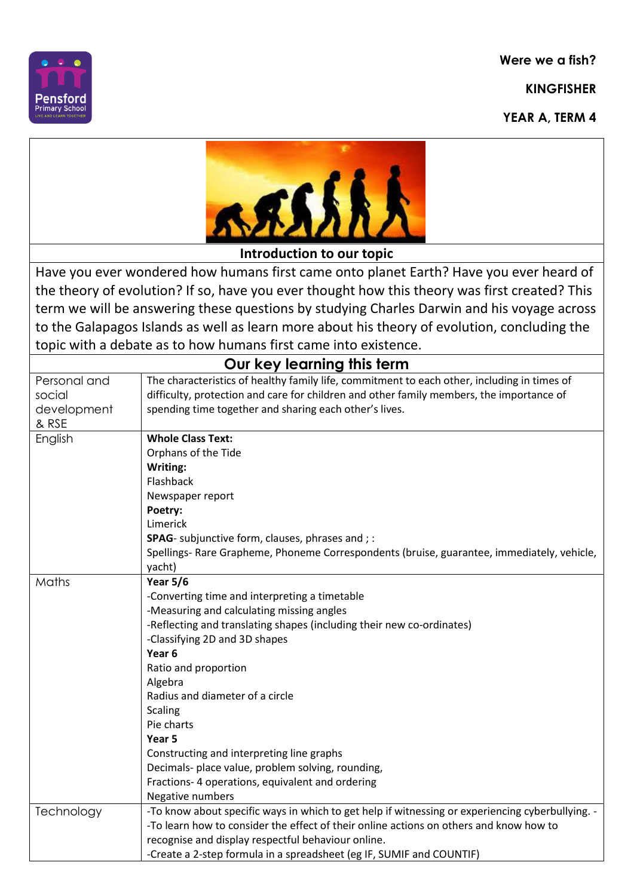**Were we a fish?**

**KINGFISHER**

**YEAR A, TERM 4**





**Introduction to our topic**

Have you ever wondered how humans first came onto planet Earth? Have you ever heard of the theory of evolution? If so, have you ever thought how this theory was first created? This term we will be answering these questions by studying Charles Darwin and his voyage across to the Galapagos Islands as well as learn more about his theory of evolution, concluding the topic with a debate as to how humans first came into existence.

| Our key learning this term |                                                                                                  |  |
|----------------------------|--------------------------------------------------------------------------------------------------|--|
| Personal and               | The characteristics of healthy family life, commitment to each other, including in times of      |  |
| social                     | difficulty, protection and care for children and other family members, the importance of         |  |
| development                | spending time together and sharing each other's lives.                                           |  |
| & RSE                      |                                                                                                  |  |
| English                    | <b>Whole Class Text:</b>                                                                         |  |
|                            | Orphans of the Tide                                                                              |  |
|                            | Writing:                                                                                         |  |
|                            | Flashback                                                                                        |  |
|                            | Newspaper report                                                                                 |  |
|                            | Poetry:                                                                                          |  |
|                            | Limerick                                                                                         |  |
|                            | SPAG- subjunctive form, clauses, phrases and ; :                                                 |  |
|                            | Spellings- Rare Grapheme, Phoneme Correspondents (bruise, guarantee, immediately, vehicle,       |  |
|                            | yacht)                                                                                           |  |
| Maths                      | <b>Year 5/6</b>                                                                                  |  |
|                            | -Converting time and interpreting a timetable                                                    |  |
|                            | -Measuring and calculating missing angles                                                        |  |
|                            | -Reflecting and translating shapes (including their new co-ordinates)                            |  |
|                            | -Classifying 2D and 3D shapes                                                                    |  |
|                            | Year <sub>6</sub>                                                                                |  |
|                            | Ratio and proportion                                                                             |  |
|                            | Algebra                                                                                          |  |
|                            | Radius and diameter of a circle                                                                  |  |
|                            | <b>Scaling</b>                                                                                   |  |
|                            | Pie charts                                                                                       |  |
|                            | Year <sub>5</sub>                                                                                |  |
|                            | Constructing and interpreting line graphs                                                        |  |
|                            | Decimals- place value, problem solving, rounding,                                                |  |
|                            | Fractions- 4 operations, equivalent and ordering                                                 |  |
|                            | Negative numbers                                                                                 |  |
| Technology                 | -To know about specific ways in which to get help if witnessing or experiencing cyberbullying. - |  |
|                            | -To learn how to consider the effect of their online actions on others and know how to           |  |
|                            | recognise and display respectful behaviour online.                                               |  |
|                            | -Create a 2-step formula in a spreadsheet (eg IF, SUMIF and COUNTIF)                             |  |